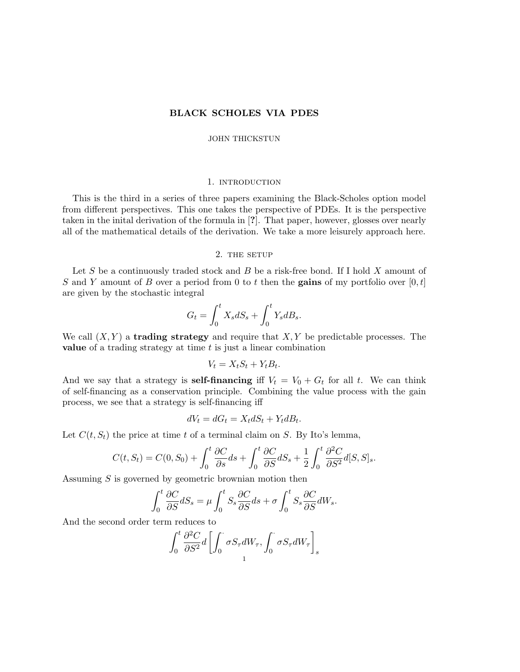# BLACK SCHOLES VIA PDES

### JOHN THICKSTUN

### 1. introduction

This is the third in a series of three papers examining the Black-Scholes option model from different perspectives. This one takes the perspective of PDEs. It is the perspective taken in the inital derivation of the formula in [?]. That paper, however, glosses over nearly all of the mathematical details of the derivation. We take a more leisurely approach here.

#### 2. THE SETUP

Let S be a continuously traded stock and B be a risk-free bond. If I hold  $X$  amount of S and Y amount of B over a period from 0 to t then the gains of my portfolio over  $[0, t]$ are given by the stochastic integral

$$
G_t = \int_0^t X_s dS_s + \int_0^t Y_s dB_s.
$$

We call  $(X, Y)$  a **trading strategy** and require that  $X, Y$  be predictable processes. The value of a trading strategy at time  $t$  is just a linear combination

$$
V_t = X_t S_t + Y_t B_t.
$$

And we say that a strategy is **self-financing** if  $V_t = V_0 + G_t$  for all t. We can think of self-financing as a conservation principle. Combining the value process with the gain process, we see that a strategy is self-financing iff

$$
dV_t = dG_t = X_t dS_t + Y_t dB_t.
$$

Let  $C(t, S_t)$  the price at time t of a terminal claim on S. By Ito's lemma,

$$
C(t, S_t) = C(0, S_0) + \int_0^t \frac{\partial C}{\partial s} ds + \int_0^t \frac{\partial C}{\partial S} dS_s + \frac{1}{2} \int_0^t \frac{\partial^2 C}{\partial S^2} d[S, S]_s.
$$

Assuming S is governed by geometric brownian motion then

$$
\int_0^t \frac{\partial C}{\partial S} dS_s = \mu \int_0^t S_s \frac{\partial C}{\partial S} ds + \sigma \int_0^t S_s \frac{\partial C}{\partial S} dW_s.
$$

And the second order term reduces to

$$
\int_0^t \frac{\partial^2 C}{\partial S^2} d \left[ \int_0^{\cdot} \sigma S_{\tau} dW_{\tau}, \int_0^{\cdot} \sigma S_{\tau} dW_{\tau} \right]_s
$$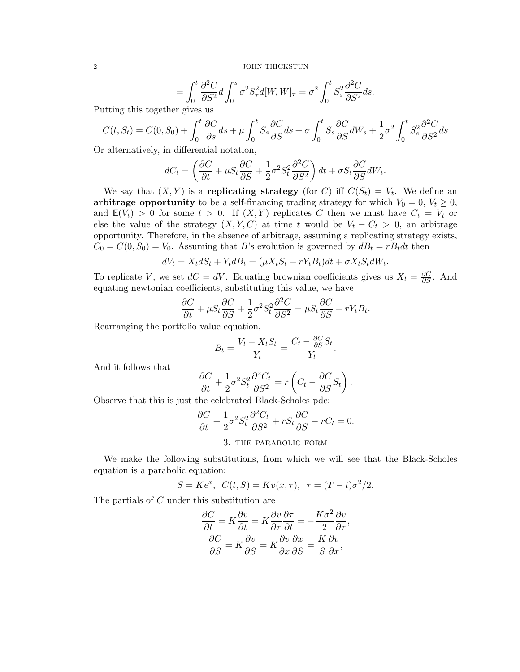$$
= \int_0^t \frac{\partial^2 C}{\partial S^2} d \int_0^s \sigma^2 S_\tau^2 d[W, W]_\tau = \sigma^2 \int_0^t S_s^2 \frac{\partial^2 C}{\partial S^2} ds.
$$

Putting this together gives us

$$
C(t, S_t) = C(0, S_0) + \int_0^t \frac{\partial C}{\partial s} ds + \mu \int_0^t S_s \frac{\partial C}{\partial S} ds + \sigma \int_0^t S_s \frac{\partial C}{\partial S} dW_s + \frac{1}{2} \sigma^2 \int_0^t S_s^2 \frac{\partial^2 C}{\partial S^2} ds
$$

Or alternatively, in differential notation,

$$
dC_t = \left(\frac{\partial C}{\partial t} + \mu S_t \frac{\partial C}{\partial S} + \frac{1}{2} \sigma^2 S_t^2 \frac{\partial^2 C}{\partial S^2}\right) dt + \sigma S_t \frac{\partial C}{\partial S} dW_t.
$$

We say that  $(X, Y)$  is a replicating strategy (for C) iff  $C(S_t) = V_t$ . We define an arbitrage opportunity to be a self-financing trading strategy for which  $V_0 = 0, V_t \geq 0$ , and  $\mathbb{E}(V_t) > 0$  for some  $t > 0$ . If  $(X, Y)$  replicates C then we must have  $C_t = V_t$  or else the value of the strategy  $(X, Y, C)$  at time t would be  $V_t - C_t > 0$ , an arbitrage opportunity. Therefore, in the absence of arbitrage, assuming a replicating strategy exists,  $C_0 = C(0, S_0) = V_0$ . Assuming that B's evolution is governed by  $dB_t = rB_t dt$  then

$$
dV_t = X_t dS_t + Y_t dB_t = (\mu X_t S_t + rY_t B_t) dt + \sigma X_t S_t dW_t.
$$

To replicate V, we set  $dC = dV$ . Equating brownian coefficients gives us  $X_t = \frac{\partial C}{\partial S}$ . And equating newtonian coefficients, substituting this value, we have

$$
\frac{\partial C}{\partial t} + \mu S_t \frac{\partial C}{\partial S} + \frac{1}{2} \sigma^2 S_t^2 \frac{\partial^2 C}{\partial S^2} = \mu S_t \frac{\partial C}{\partial S} + r Y_t B_t.
$$

Rearranging the portfolio value equation,

$$
B_t = \frac{V_t - X_t S_t}{Y_t} = \frac{C_t - \frac{\partial C}{\partial S} S_t}{Y_t}.
$$

And it follows that

$$
\frac{\partial C}{\partial t} + \frac{1}{2}\sigma^2 S_t^2 \frac{\partial^2 C_t}{\partial S^2} = r \left( C_t - \frac{\partial C}{\partial S} S_t \right).
$$

Observe that this is just the celebrated Black-Scholes pde:

$$
\frac{\partial C}{\partial t} + \frac{1}{2}\sigma^2 S_t^2 \frac{\partial^2 C_t}{\partial S^2} + rS_t \frac{\partial C}{\partial S} - rC_t = 0.
$$

3. the parabolic form

We make the following substitutions, from which we will see that the Black-Scholes equation is a parabolic equation:

$$
S = Ke^{x}, \ C(t, S) = Kv(x, \tau), \ \tau = (T - t)\sigma^{2}/2.
$$

The partials of C under this substitution are

$$
\frac{\partial C}{\partial t} = K \frac{\partial v}{\partial t} = K \frac{\partial v}{\partial \tau} \frac{\partial \tau}{\partial t} = -\frac{K\sigma^2}{2} \frac{\partial v}{\partial \tau},
$$

$$
\frac{\partial C}{\partial S} = K \frac{\partial v}{\partial S} = K \frac{\partial v}{\partial x} \frac{\partial x}{\partial S} = \frac{K}{S} \frac{\partial v}{\partial x},
$$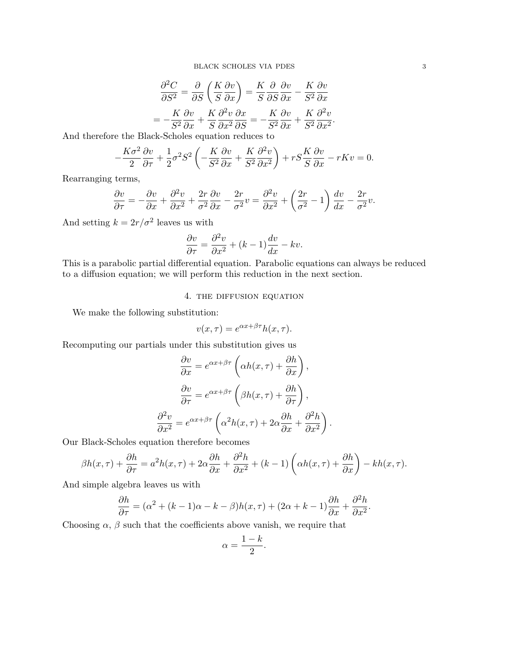$$
\frac{\partial^2 C}{\partial S^2} = \frac{\partial}{\partial S} \left( \frac{K}{S} \frac{\partial v}{\partial x} \right) = \frac{K}{S} \frac{\partial}{\partial S} \frac{\partial v}{\partial x} - \frac{K}{S^2} \frac{\partial v}{\partial x}
$$

$$
= -\frac{K}{S^2} \frac{\partial v}{\partial x} + \frac{K}{S} \frac{\partial^2 v}{\partial x^2} \frac{\partial x}{\partial S} = -\frac{K}{S^2} \frac{\partial v}{\partial x} + \frac{K}{S^2} \frac{\partial^2 v}{\partial x^2}.
$$

And therefore the Black-Scholes equation reduces to

$$
-\frac{K\sigma^2}{2}\frac{\partial v}{\partial \tau} + \frac{1}{2}\sigma^2 S^2 \left(-\frac{K}{S^2}\frac{\partial v}{\partial x} + \frac{K}{S^2}\frac{\partial^2 v}{\partial x^2}\right) + rS\frac{K}{S}\frac{\partial v}{\partial x} - rKv = 0.
$$

Rearranging terms,

$$
\frac{\partial v}{\partial \tau} = -\frac{\partial v}{\partial x} + \frac{\partial^2 v}{\partial x^2} + \frac{2r}{\sigma^2} \frac{\partial v}{\partial x} - \frac{2r}{\sigma^2} v = \frac{\partial^2 v}{\partial x^2} + \left(\frac{2r}{\sigma^2} - 1\right) \frac{dv}{dx} - \frac{2r}{\sigma^2} v.
$$

And setting  $k = 2r/\sigma^2$  leaves us with

$$
\frac{\partial v}{\partial \tau} = \frac{\partial^2 v}{\partial x^2} + (k - 1) \frac{dv}{dx} - kv.
$$

This is a parabolic partial differential equation. Parabolic equations can always be reduced to a diffusion equation; we will perform this reduction in the next section.

### 4. the diffusion equation

We make the following substitution:

$$
v(x,\tau) = e^{\alpha x + \beta \tau} h(x,\tau).
$$

Recomputing our partials under this substitution gives us

$$
\frac{\partial v}{\partial x} = e^{\alpha x + \beta \tau} \left( \alpha h(x, \tau) + \frac{\partial h}{\partial x} \right),
$$

$$
\frac{\partial v}{\partial \tau} = e^{\alpha x + \beta \tau} \left( \beta h(x, \tau) + \frac{\partial h}{\partial \tau} \right),
$$

$$
\frac{\partial^2 v}{\partial x^2} = e^{\alpha x + \beta \tau} \left( \alpha^2 h(x, \tau) + 2\alpha \frac{\partial h}{\partial x} + \frac{\partial^2 h}{\partial x^2} \right).
$$

Our Black-Scholes equation therefore becomes

 $\partial$ 

$$
\beta h(x,\tau) + \frac{\partial h}{\partial \tau} = a^2 h(x,\tau) + 2\alpha \frac{\partial h}{\partial x} + \frac{\partial^2 h}{\partial x^2} + (k-1) \left( \alpha h(x,\tau) + \frac{\partial h}{\partial x} \right) - kh(x,\tau).
$$

And simple algebra leaves us with

$$
\frac{\partial h}{\partial \tau} = (\alpha^2 + (k-1)\alpha - k - \beta)h(x, \tau) + (2\alpha + k - 1)\frac{\partial h}{\partial x} + \frac{\partial^2 h}{\partial x^2}.
$$

Choosing  $\alpha$ ,  $\beta$  such that the coefficients above vanish, we require that

$$
\alpha = \frac{1-k}{2}
$$

.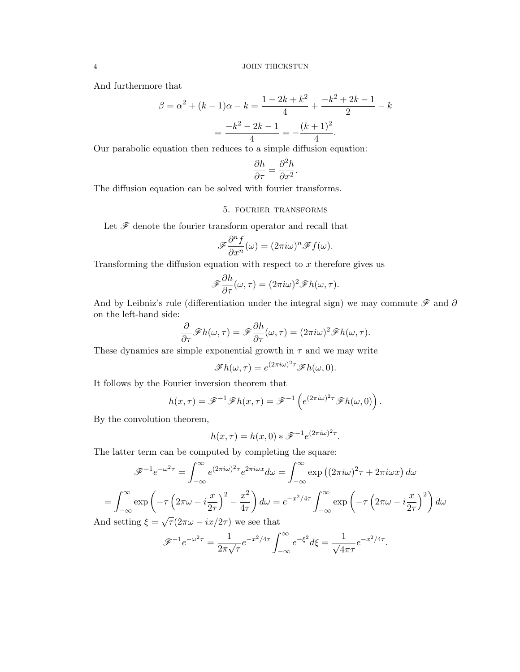And furthermore that

$$
\beta = \alpha^2 + (k-1)\alpha - k = \frac{1 - 2k + k^2}{4} + \frac{-k^2 + 2k - 1}{2} - k
$$

$$
= \frac{-k^2 - 2k - 1}{4} = -\frac{(k+1)^2}{4}.
$$

Our parabolic equation then reduces to a simple diffusion equation:

$$
\frac{\partial h}{\partial \tau} = \frac{\partial^2 h}{\partial x^2}.
$$

The diffusion equation can be solved with fourier transforms.

# 5. fourier transforms

Let  ${\mathscr{F}}$  denote the fourier transform operator and recall that

$$
\mathscr{F}\frac{\partial^n f}{\partial x^n}(\omega) = (2\pi i\omega)^n \mathscr{F}f(\omega).
$$

Transforming the diffusion equation with respect to  $x$  therefore gives us

$$
\mathscr{F}\frac{\partial h}{\partial \tau}(\omega,\tau) = (2\pi i \omega)^2 \mathscr{F}h(\omega,\tau).
$$

And by Leibniz's rule (differentiation under the integral sign) we may commute  $\mathscr F$  and  $\partial$ on the left-hand side:

$$
\frac{\partial}{\partial \tau} \mathscr{F}h(\omega,\tau) = \mathscr{F}\frac{\partial h}{\partial \tau}(\omega,\tau) = (2\pi i\omega)^2 \mathscr{F}h(\omega,\tau).
$$

These dynamics are simple exponential growth in  $\tau$  and we may write

$$
\mathscr{F}h(\omega,\tau)=e^{(2\pi i\omega)^2\tau}\mathscr{F}h(\omega,0).
$$

It follows by the Fourier inversion theorem that

$$
h(x,\tau) = \mathscr{F}^{-1}\mathscr{F}h(x,\tau) = \mathscr{F}^{-1}\left(e^{(2\pi i\omega)^2\tau}\mathscr{F}h(\omega,0)\right)
$$

.

By the convolution theorem,

$$
h(x,\tau) = h(x,0) * \mathcal{F}^{-1}e^{(2\pi i\omega)^2\tau}.
$$

The latter term can be computed by completing the square:

$$
\mathcal{F}^{-1}e^{-\omega^2\tau} = \int_{-\infty}^{\infty} e^{(2\pi i\omega)^2\tau} e^{2\pi i\omega x} d\omega = \int_{-\infty}^{\infty} \exp\left((2\pi i\omega)^2\tau + 2\pi i\omega x\right) d\omega
$$

$$
= \int_{-\infty}^{\infty} \exp\left(-\tau \left(2\pi\omega - i\frac{x}{2\tau}\right)^2 - \frac{x^2}{4\tau}\right) d\omega = e^{-x^2/4\tau} \int_{-\infty}^{\infty} \exp\left(-\tau \left(2\pi\omega - i\frac{x}{2\tau}\right)^2\right) d\omega
$$
And setting  $\xi = \sqrt{\tau} (2\pi\omega - ix/2\tau)$  we see that

$$
\mathscr{F}^{-1}e^{-\omega^2\tau} = \frac{1}{2\pi\sqrt{\tau}}e^{-x^2/4\tau} \int_{-\infty}^{\infty} e^{-\xi^2} d\xi = \frac{1}{\sqrt{4\pi\tau}}e^{-x^2/4\tau}.
$$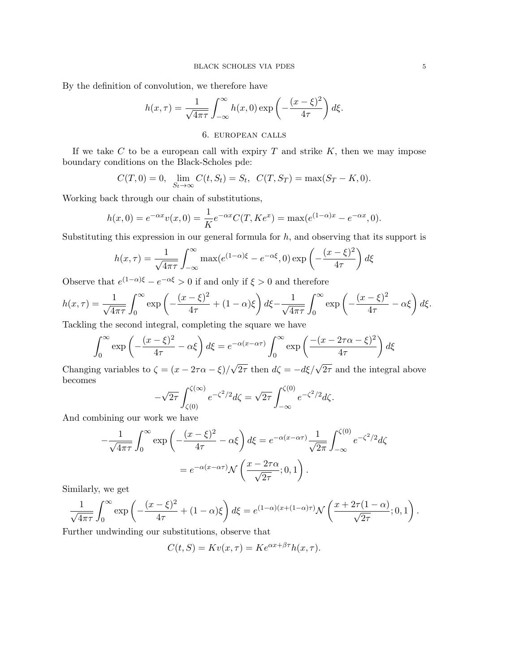By the definition of convolution, we therefore have

$$
h(x,\tau) = \frac{1}{\sqrt{4\pi\tau}} \int_{-\infty}^{\infty} h(x,0) \exp\left(-\frac{(x-\xi)^2}{4\tau}\right) d\xi.
$$

# 6. european calls

If we take  $C$  to be a european call with expiry  $T$  and strike  $K$ , then we may impose boundary conditions on the Black-Scholes pde:

$$
C(T, 0) = 0
$$
,  $\lim_{S_t \to \infty} C(t, S_t) = S_t$ ,  $C(T, S_T) = \max(S_T - K, 0)$ .

Working back through our chain of substitutions,

$$
h(x, 0) = e^{-\alpha x} v(x, 0) = \frac{1}{K} e^{-\alpha x} C(T, K e^x) = \max(e^{(1-\alpha)x} - e^{-\alpha x}, 0).
$$

Substituting this expression in our general formula for  $h$ , and observing that its support is

$$
h(x,\tau) = \frac{1}{\sqrt{4\pi\tau}} \int_{-\infty}^{\infty} \max(e^{(1-\alpha)\xi} - e^{-\alpha\xi}, 0) \exp\left(-\frac{(x-\xi)^2}{4\tau}\right) d\xi
$$

Observe that  $e^{(1-\alpha)\xi} - e^{-\alpha\xi} > 0$  if and only if  $\xi > 0$  and therefore

$$
h(x,\tau) = \frac{1}{\sqrt{4\pi\tau}} \int_0^\infty \exp\left(-\frac{(x-\xi)^2}{4\tau} + (1-\alpha)\xi\right) d\xi - \frac{1}{\sqrt{4\pi\tau}} \int_0^\infty \exp\left(-\frac{(x-\xi)^2}{4\tau} - \alpha\xi\right) d\xi.
$$

Tackling the second integral, completing the square we have

$$
\int_0^\infty \exp\left(-\frac{(x-\xi)^2}{4\tau} - \alpha\xi\right) d\xi = e^{-\alpha(x-\alpha\tau)} \int_0^\infty \exp\left(\frac{-(x-2\tau\alpha-\xi)^2}{4\tau}\right) d\xi
$$

Changing variables to  $\zeta = (x - 2\tau\alpha - \xi)/$  $\sqrt{2\tau}$  then  $d\zeta = -d\xi/\sqrt{2\tau}$  and the integral above becomes

$$
-\sqrt{2\tau} \int_{\zeta(0)}^{\zeta(\infty)} e^{-\zeta^2/2} d\zeta = \sqrt{2\tau} \int_{-\infty}^{\zeta(0)} e^{-\zeta^2/2} d\zeta.
$$

And combining our work we have

$$
-\frac{1}{\sqrt{4\pi\tau}} \int_0^\infty \exp\left(-\frac{(x-\xi)^2}{4\tau} - \alpha\xi\right) d\xi = e^{-\alpha(x-\alpha\tau)} \frac{1}{\sqrt{2\pi}} \int_{-\infty}^{\zeta(0)} e^{-\zeta^2/2} d\zeta
$$

$$
= e^{-\alpha(x-\alpha\tau)} \mathcal{N}\left(\frac{x-2\tau\alpha}{\sqrt{2\tau}}; 0,1\right).
$$

Similarly, we get

$$
\frac{1}{\sqrt{4\pi\tau}}\int_0^\infty \exp\left(-\frac{(x-\xi)^2}{4\tau} + (1-\alpha)\xi\right)d\xi = e^{(1-\alpha)(x+(1-\alpha)\tau)}\mathcal{N}\left(\frac{x+2\tau(1-\alpha)}{\sqrt{2\tau}};0,1\right).
$$

Further undwinding our substitutions, observe that

$$
C(t, S) = Kv(x, \tau) = Ke^{\alpha x + \beta \tau} h(x, \tau).
$$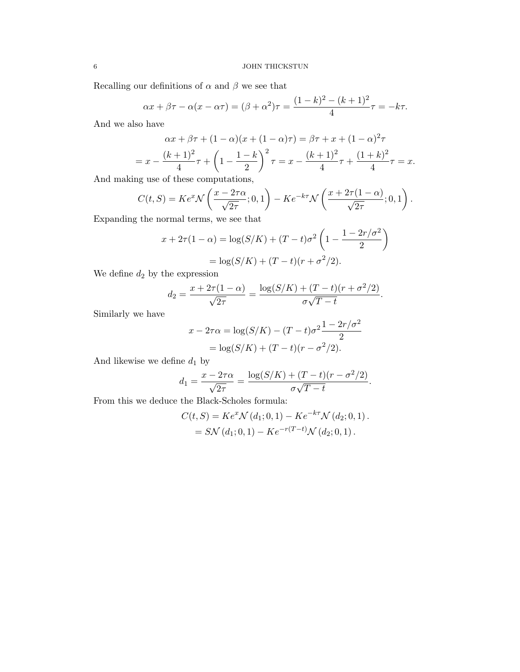Recalling our definitions of  $\alpha$  and  $\beta$  we see that

$$
\alpha x + \beta \tau - \alpha (x - \alpha \tau) = (\beta + \alpha^2) \tau = \frac{(1 - k)^2 - (k + 1)^2}{4} \tau = -k\tau.
$$

And we also have

$$
\alpha x + \beta \tau + (1 - \alpha)(x + (1 - \alpha)\tau) = \beta \tau + x + (1 - \alpha)^2 \tau
$$
  
=  $x - \frac{(k+1)^2}{4}\tau + \left(1 - \frac{1-k}{2}\right)^2 \tau = x - \frac{(k+1)^2}{4}\tau + \frac{(1+k)^2}{4}\tau = x.$ 

And making use of these computations,

$$
C(t,S) = Ke^{x}\mathcal{N}\left(\frac{x - 2\tau\alpha}{\sqrt{2\tau}};0,1\right) - Ke^{-k\tau}\mathcal{N}\left(\frac{x + 2\tau(1-\alpha)}{\sqrt{2\tau}};0,1\right).
$$

Expanding the normal terms, we see that

$$
x + 2\tau(1 - \alpha) = \log(S/K) + (T - t)\sigma^2 \left(1 - \frac{1 - 2r/\sigma^2}{2}\right)
$$

$$
= \log(S/K) + (T - t)(r + \sigma^2/2).
$$

We define  $d_2$  by the expression

$$
d_2 = \frac{x + 2\tau(1 - \alpha)}{\sqrt{2\tau}} = \frac{\log(S/K) + (T - t)(r + \sigma^2/2)}{\sigma\sqrt{T - t}}.
$$

Similarly we have

$$
x - 2\tau\alpha = \log(S/K) - (T - t)\sigma^2 \frac{1 - 2r/\sigma^2}{2}
$$
  
=  $\log(S/K) + (T - t)(r - \sigma^2/2).$ 

And likewise we define  $d_1$  by

$$
d_1 = \frac{x - 2\tau\alpha}{\sqrt{2\tau}} = \frac{\log(S/K) + (T - t)(r - \sigma^2/2)}{\sigma\sqrt{T - t}}.
$$

From this we deduce the Black-Scholes formula:

$$
C(t, S) = Ke^{x} \mathcal{N}(d_1; 0, 1) - Ke^{-k\tau} \mathcal{N}(d_2; 0, 1).
$$
  
=  $S \mathcal{N}(d_1; 0, 1) - Ke^{-r(T-t)} \mathcal{N}(d_2; 0, 1).$